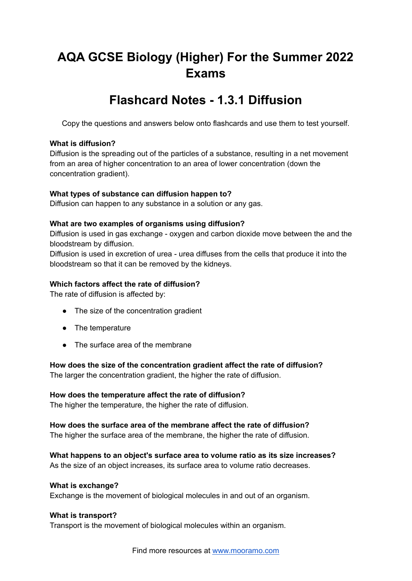# **AQA GCSE Biology (Higher) For the Summer 2022 Exams**

# **Flashcard Notes - 1.3.1 Diffusion**

Copy the questions and answers below onto flashcards and use them to test yourself.

#### **What is diffusion?**

Diffusion is the spreading out of the particles of a substance, resulting in a net movement from an area of higher concentration to an area of lower concentration (down the concentration gradient).

# **What types of substance can diffusion happen to?**

Diffusion can happen to any substance in a solution or any gas.

# **What are two examples of organisms using diffusion?**

Diffusion is used in gas exchange - oxygen and carbon dioxide move between the and the bloodstream by diffusion.

Diffusion is used in excretion of urea - urea diffuses from the cells that produce it into the bloodstream so that it can be removed by the kidneys.

# **Which factors affect the rate of diffusion?**

The rate of diffusion is affected by:

- The size of the concentration gradient
- The temperature
- The surface area of the membrane

**How does the size of the concentration gradient affect the rate of diffusion?**

The larger the concentration gradient, the higher the rate of diffusion.

# **How does the temperature affect the rate of diffusion?**

The higher the temperature, the higher the rate of diffusion.

# **How does the surface area of the membrane affect the rate of diffusion?**

The higher the surface area of the membrane, the higher the rate of diffusion.

**What happens to an object's surface area to volume ratio as its size increases?** As the size of an object increases, its surface area to volume ratio decreases.

#### **What is exchange?**

Exchange is the movement of biological molecules in and out of an organism.

#### **What is transport?**

Transport is the movement of biological molecules within an organism.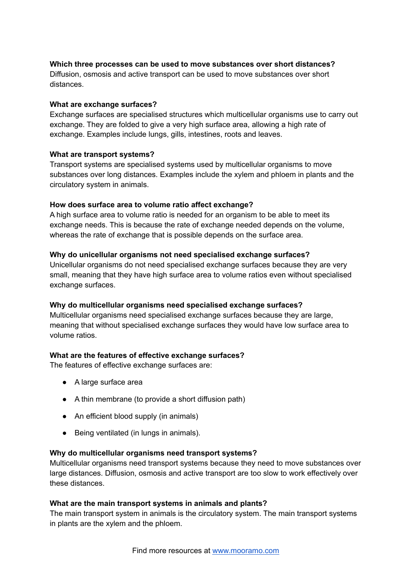# **Which three processes can be used to move substances over short distances?**

Diffusion, osmosis and active transport can be used to move substances over short distances.

#### **What are exchange surfaces?**

Exchange surfaces are specialised structures which multicellular organisms use to carry out exchange. They are folded to give a very high surface area, allowing a high rate of exchange. Examples include lungs, gills, intestines, roots and leaves.

#### **What are transport systems?**

Transport systems are specialised systems used by multicellular organisms to move substances over long distances. Examples include the xylem and phloem in plants and the circulatory system in animals.

#### **How does surface area to volume ratio affect exchange?**

A high surface area to volume ratio is needed for an organism to be able to meet its exchange needs. This is because the rate of exchange needed depends on the volume, whereas the rate of exchange that is possible depends on the surface area.

#### **Why do unicellular organisms not need specialised exchange surfaces?**

Unicellular organisms do not need specialised exchange surfaces because they are very small, meaning that they have high surface area to volume ratios even without specialised exchange surfaces.

#### **Why do multicellular organisms need specialised exchange surfaces?**

Multicellular organisms need specialised exchange surfaces because they are large, meaning that without specialised exchange surfaces they would have low surface area to volume ratios.

#### **What are the features of effective exchange surfaces?**

The features of effective exchange surfaces are:

- A large surface area
- A thin membrane (to provide a short diffusion path)
- An efficient blood supply (in animals)
- Being ventilated (in lungs in animals).

#### **Why do multicellular organisms need transport systems?**

Multicellular organisms need transport systems because they need to move substances over large distances. Diffusion, osmosis and active transport are too slow to work effectively over these distances.

#### **What are the main transport systems in animals and plants?**

The main transport system in animals is the circulatory system. The main transport systems in plants are the xylem and the phloem.